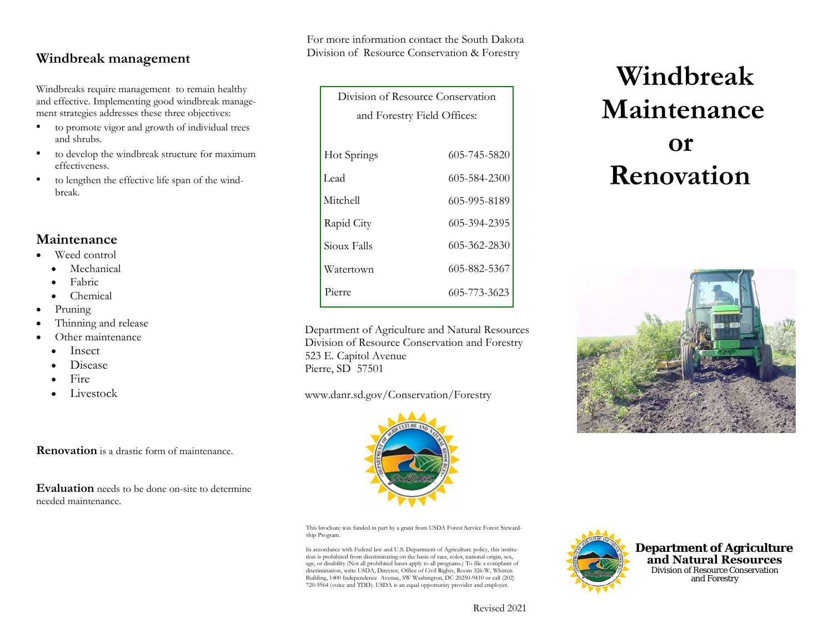# **Windbreak management**

Windbreaks require management to remain healthy and effective. Implementing good windbreak management strategies addresses these three objectives:

- ▪ to promote vigor and growth of individual trees and shrubs.
- ▪ to develop the windbreak structure for maximum effectiveness.
- ▪ to lengthen the effective life span of the windbreak.

## **Maintenance**

- • Weed control
	- •Mechanical
	- •Fabric
	- •Chemical
- •Pruning
- •Thinning and release
- • Other maintenance
	- •Insect
	- •Disease
	- •Fire
	- •Livestock

**Renovation** is a drastic form of maintenance.

**Evaluation** needs to be done on-site to determine needed maintenance.

For more information contact the South Dakota Division of Resource Conservation & Forestry

| Division of Resource Conservation |              |
|-----------------------------------|--------------|
| and Forestry Field Offices:       |              |
|                                   |              |
| Hot Springs                       | 605-745-5820 |
| Lead                              | 605-584-2300 |
| Mitchell                          | 605-995-8189 |
| Rapid City                        | 605-394-2395 |
| Sioux Falls                       | 605-362-2830 |
| Watertown                         | 605-882-5367 |
| Pierre                            | 605-773-3623 |

Department of Agriculture and Natural Resources Division of Resource Conservation and Forestry 523 E. Capitol Avenue Pierre, SD 57501

### www.danr.sd.gov/Conservation/Forestry



This brochure was funded in part by a grant from USDA Forest Service Forest Stewardship Program.

In accordance with Federal law and U.S. Department of Agriculture policy, this institution is prohibited from discriminating on the basis of race, color, national origin, sex, age, or disability (Not all prohibited bases apply to all programs.) To file a complaint of discrimination, write USDA, Director, Office of Civil Rights, Room 326-W, Whitten Building, 1400 Independence Avenue, SW Washington, DC 20250-9410 or call (202) 720-5964 (voice and TDD). USDA is an equal opportunity provider and employer.



 **Windbreak Maintenance or Renovation** 





Revised 2021